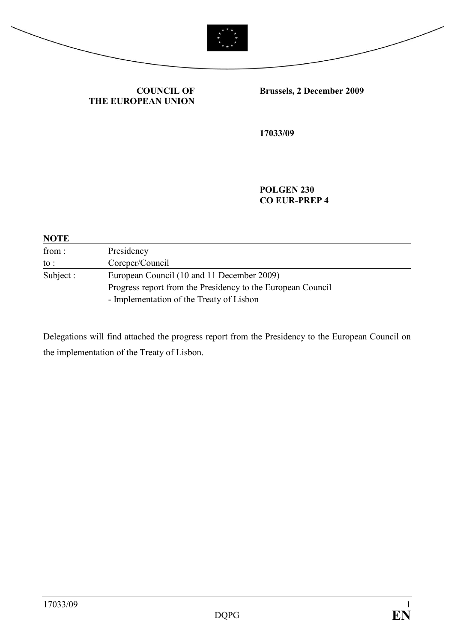



COUNCIL OF THE EUROPEAN UNION Brussels, 2 December 2009

17033/09

POLGEN 230 CO EUR-PREP 4

| <b>NOTE</b> |                                                             |
|-------------|-------------------------------------------------------------|
| from:       | Presidency                                                  |
| to :        | Coreper/Council                                             |
| Subject :   | European Council (10 and 11 December 2009)                  |
|             | Progress report from the Presidency to the European Council |
|             | - Implementation of the Treaty of Lisbon                    |

Delegations will find attached the progress report from the Presidency to the European Council on the implementation of the Treaty of Lisbon.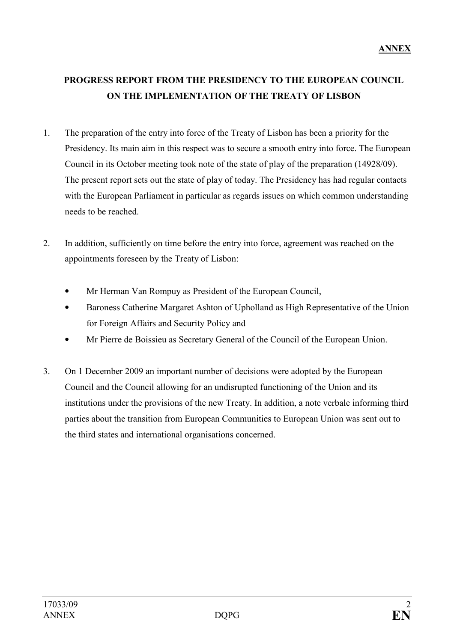## PROGRESS REPORT FROM THE PRESIDENCY TO THE EUROPEAN COUNCIL ON THE IMPLEMENTATION OF THE TREATY OF LISBON

- 1. The preparation of the entry into force of the Treaty of Lisbon has been a priority for the Presidency. Its main aim in this respect was to secure a smooth entry into force. The European Council in its October meeting took note of the state of play of the preparation (14928/09). The present report sets out the state of play of today. The Presidency has had regular contacts with the European Parliament in particular as regards issues on which common understanding needs to be reached.
- 2. In addition, sufficiently on time before the entry into force, agreement was reached on the appointments foreseen by the Treaty of Lisbon:
	- Mr Herman Van Rompuy as President of the European Council,
	- Baroness Catherine Margaret Ashton of Upholland as High Representative of the Union for Foreign Affairs and Security Policy and
	- Mr Pierre de Boissieu as Secretary General of the Council of the European Union.
- 3. On 1 December 2009 an important number of decisions were adopted by the European Council and the Council allowing for an undisrupted functioning of the Union and its institutions under the provisions of the new Treaty. In addition, a note verbale informing third parties about the transition from European Communities to European Union was sent out to the third states and international organisations concerned.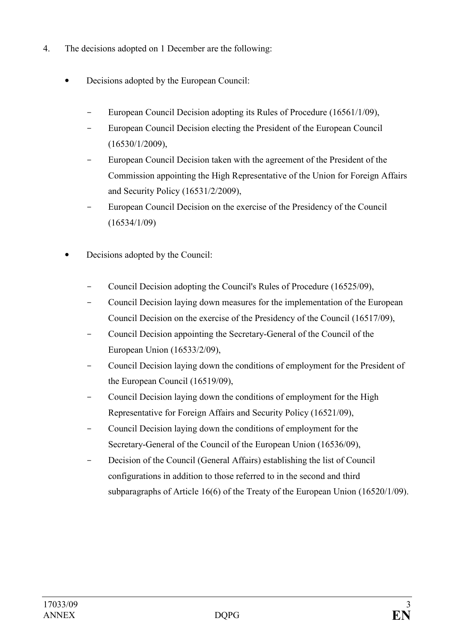- 4. The decisions adopted on 1 December are the following:
	- Decisions adopted by the European Council:
		- European Council Decision adopting its Rules of Procedure (16561/1/09),
		- European Council Decision electing the President of the European Council (16530/1/2009),
		- European Council Decision taken with the agreement of the President of the Commission appointing the High Representative of the Union for Foreign Affairs and Security Policy (16531/2/2009),
		- European Council Decision on the exercise of the Presidency of the Council (16534/1/09)
	- Decisions adopted by the Council:
		- Council Decision adopting the Council's Rules of Procedure (16525/09),
		- Council Decision laying down measures for the implementation of the European Council Decision on the exercise of the Presidency of the Council (16517/09),
		- Council Decision appointing the Secretary-General of the Council of the European Union (16533/2/09),
		- Council Decision laying down the conditions of employment for the President of the European Council (16519/09),
		- Council Decision laying down the conditions of employment for the High Representative for Foreign Affairs and Security Policy (16521/09),
		- Council Decision laying down the conditions of employment for the Secretary-General of the Council of the European Union (16536/09),
		- Decision of the Council (General Affairs) establishing the list of Council configurations in addition to those referred to in the second and third subparagraphs of Article 16(6) of the Treaty of the European Union (16520/1/09).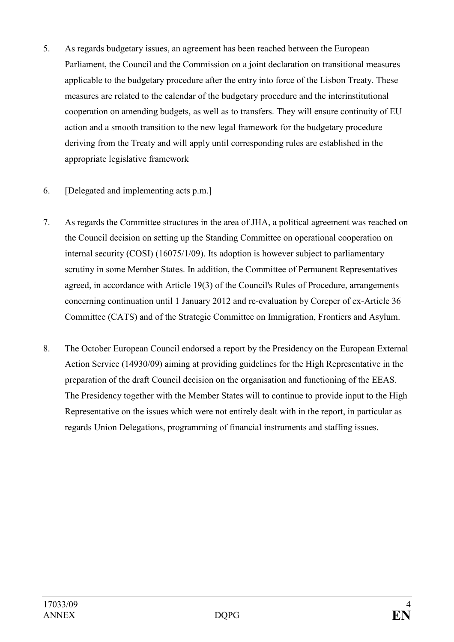- 5. As regards budgetary issues, an agreement has been reached between the European Parliament, the Council and the Commission on a joint declaration on transitional measures applicable to the budgetary procedure after the entry into force of the Lisbon Treaty. These measures are related to the calendar of the budgetary procedure and the interinstitutional cooperation on amending budgets, as well as to transfers. They will ensure continuity of EU action and a smooth transition to the new legal framework for the budgetary procedure deriving from the Treaty and will apply until corresponding rules are established in the appropriate legislative framework
- 6. [Delegated and implementing acts p.m.]
- 7. As regards the Committee structures in the area of JHA, a political agreement was reached on the Council decision on setting up the Standing Committee on operational cooperation on internal security (COSI) (16075/1/09). Its adoption is however subject to parliamentary scrutiny in some Member States. In addition, the Committee of Permanent Representatives agreed, in accordance with Article 19(3) of the Council's Rules of Procedure, arrangements concerning continuation until 1 January 2012 and re-evaluation by Coreper of ex-Article 36 Committee (CATS) and of the Strategic Committee on Immigration, Frontiers and Asylum.
- 8. The October European Council endorsed a report by the Presidency on the European External Action Service (14930/09) aiming at providing guidelines for the High Representative in the preparation of the draft Council decision on the organisation and functioning of the EEAS. The Presidency together with the Member States will to continue to provide input to the High Representative on the issues which were not entirely dealt with in the report, in particular as regards Union Delegations, programming of financial instruments and staffing issues.